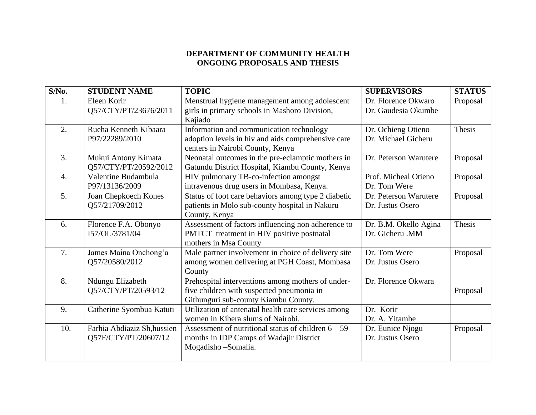## **DEPARTMENT OF COMMUNITY HEALTH ONGOING PROPOSALS AND THESIS**

| $S/N0$ .         | <b>STUDENT NAME</b>                                 | <b>TOPIC</b>                                                                                                                           | <b>SUPERVISORS</b>                         | <b>STATUS</b> |
|------------------|-----------------------------------------------------|----------------------------------------------------------------------------------------------------------------------------------------|--------------------------------------------|---------------|
| 1.               | Eleen Korir<br>Q57/CTY/PT/23676/2011                | Menstrual hygiene management among adolescent<br>girls in primary schools in Mashoro Division,<br>Kajiado                              | Dr. Florence Okwaro<br>Dr. Gaudesia Okumbe | Proposal      |
| 2.               | Rueha Kenneth Kibaara<br>P97/22289/2010             | Information and communication technology<br>adoption levels in hiv and aids comprehensive care<br>centers in Nairobi County, Kenya     | Dr. Ochieng Otieno<br>Dr. Michael Gicheru  | Thesis        |
| 3.               | Mukui Antony Kimata<br>Q57/CTY/PT/20592/2012        | Neonatal outcomes in the pre-eclamptic mothers in<br>Gatundu District Hospital, Kiambu County, Kenya                                   | Dr. Peterson Warutere                      | Proposal      |
| $\overline{4}$ . | Valentine Budambula<br>P97/13136/2009               | HIV pulmonary TB-co-infection amongst<br>intravenous drug users in Mombasa, Kenya.                                                     | Prof. Micheal Otieno<br>Dr. Tom Were       | Proposal      |
| 5.               | Joan Chepkoech Kones<br>Q57/21709/2012              | Status of foot care behaviors among type 2 diabetic<br>patients in Molo sub-county hospital in Nakuru<br>County, Kenya                 | Dr. Peterson Warutere<br>Dr. Justus Osero  | Proposal      |
| 6.               | Florence F.A. Obonyo<br>I57/OL/3781/04              | Assessment of factors influencing non adherence to<br>PMTCT treatment in HIV positive postnatal<br>mothers in Msa County               | Dr. B.M. Okello Agina<br>Dr. Gicheru .MM   | Thesis        |
| 7.               | James Maina Onchong'a<br>Q57/20580/2012             | Male partner involvement in choice of delivery site<br>among women delivering at PGH Coast, Mombasa<br>County                          | Dr. Tom Were<br>Dr. Justus Osero           | Proposal      |
| 8.               | Ndungu Elizabeth<br>Q57/CTY/PT/20593/12             | Prehospital interventions among mothers of under-<br>five children with suspected pneumonia in<br>Githunguri sub-county Kiambu County. | Dr. Florence Okwara                        | Proposal      |
| 9.               | Catherine Syombua Katuti                            | Utilization of antenatal health care services among<br>women in Kibera slums of Nairobi.                                               | Dr. Korir<br>Dr. A. Yitambe                |               |
| 10.              | Farhia Abdiaziz Sh, hussien<br>Q57F/CTY/PT/20607/12 | Assessment of nutritional status of children $6 - 59$<br>months in IDP Camps of Wadajir District<br>Mogadisho - Somalia.               | Dr. Eunice Njogu<br>Dr. Justus Osero       | Proposal      |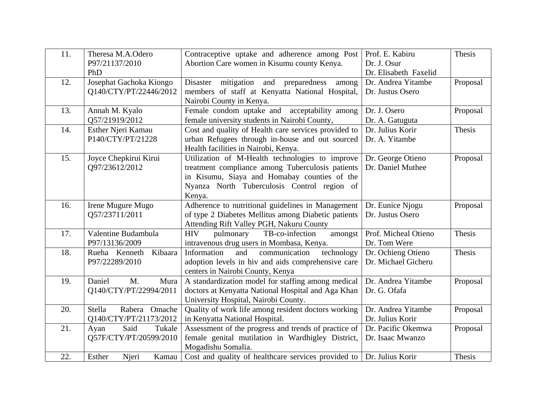| 11. | Theresa M.A.Odero<br>P97/21137/2010<br>PhD        | Contraceptive uptake and adherence among Post<br>Abortion Care women in Kisumu county Kenya.                                                                                                                 | Prof. E. Kabiru<br>Dr. J. Osur<br>Dr. Elisabeth Faxelid | Thesis   |
|-----|---------------------------------------------------|--------------------------------------------------------------------------------------------------------------------------------------------------------------------------------------------------------------|---------------------------------------------------------|----------|
| 12. | Josephat Gachoka Kiongo<br>Q140/CTY/PT/22446/2012 | Disaster mitigation<br>preparedness<br>and<br>among<br>members of staff at Kenyatta National Hospital,<br>Nairobi County in Kenya.                                                                           | Dr. Andrea Yitambe<br>Dr. Justus Osero                  | Proposal |
| 13. | Annah M. Kyalo<br>Q57/21919/2012                  | Female condom uptake and acceptability among<br>female university students in Nairobi County,                                                                                                                | Dr. J. Osero<br>Dr. A. Gatuguta                         | Proposal |
| 14. | Esther Njeri Kamau<br>P140/CTY/PT/21228           | Cost and quality of Health care services provided to<br>urban Refugees through in-house and out sourced<br>Health facilities in Nairobi, Kenya.                                                              | Dr. Julius Korir<br>Dr. A. Yitambe                      | Thesis   |
| 15. | Joyce Chepkirui Kirui<br>Q97/23612/2012           | Utilization of M-Health technologies to improve<br>treatment compliance among Tuberculosis patients<br>in Kisumu, Siaya and Homabay counties of the<br>Nyanza North Tuberculosis Control region of<br>Kenya. | Dr. George Otieno<br>Dr. Daniel Muthee                  | Proposal |
| 16. | Irene Mugure Mugo<br>Q57/23711/2011               | Adherence to nutritional guidelines in Management<br>of type 2 Diabetes Mellitus among Diabetic patients<br>Attending Rift Valley PGH, Nakuru County                                                         | Dr. Eunice Njogu<br>Dr. Justus Osero                    | Proposal |
| 17. | Valentine Budambula<br>P97/13136/2009             | <b>HIV</b><br>TB-co-infection<br>pulmonary<br>amongst<br>intravenous drug users in Mombasa, Kenya.                                                                                                           | Prof. Micheal Otieno<br>Dr. Tom Were                    | Thesis   |
| 18. | Kibaara<br>Rueha Kenneth<br>P97/22289/2010        | technology<br>and<br>Information<br>communication<br>adoption levels in hiv and aids comprehensive care<br>centers in Nairobi County, Kenya                                                                  | Dr. Ochieng Otieno<br>Dr. Michael Gicheru               | Thesis   |
| 19. | Daniel<br>M.<br>Mura<br>Q140/CTY/PT/22994/2011    | A standardization model for staffing among medical<br>doctors at Kenyatta National Hospital and Aga Khan<br>University Hospital, Nairobi County.                                                             | Dr. Andrea Yitambe<br>Dr. G. Ofafa                      | Proposal |
| 20. | Rabera Omache<br>Stella<br>Q140/CTY/PT/21173/2012 | Quality of work life among resident doctors working<br>in Kenyatta National Hospital.                                                                                                                        | Dr. Andrea Yitambe<br>Dr. Julius Korir                  | Proposal |
| 21. | Said<br>Tukale<br>Ayan<br>Q57F/CTY/PT/20599/2010  | Assessment of the progress and trends of practice of<br>female genital mutilation in Wardhigley District,<br>Mogadishu Somalia.                                                                              | Dr. Pacific Okemwa<br>Dr. Isaac Mwanzo                  | Proposal |
| 22. | Esther<br>Njeri<br>Kamau                          | Cost and quality of healthcare services provided to   Dr. Julius Korin                                                                                                                                       |                                                         | Thesis   |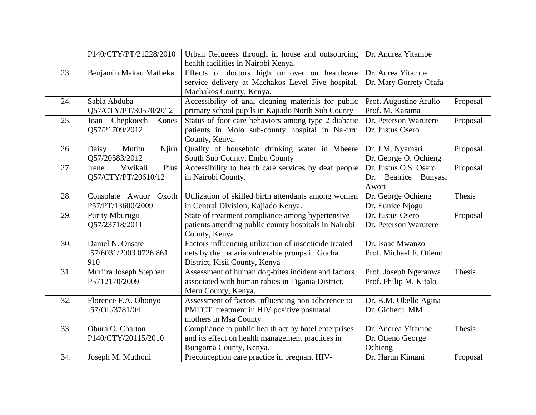|     | P140/CTY/PT/21228/2010                            | Urban Refugees through in house and outsourcing<br>health facilities in Nairobi Kenya.                                                    | Dr. Andrea Yitambe                                     |          |
|-----|---------------------------------------------------|-------------------------------------------------------------------------------------------------------------------------------------------|--------------------------------------------------------|----------|
| 23. | Benjamin Makau Matheka                            | Effects of doctors high turnover on healthcare<br>service delivery at Machakos Level Five hospital,<br>Machakos County, Kenya.            | Dr. Adrea Yitambe<br>Dr. Mary Gorrety Ofafa            |          |
| 24. | Sabla Abduba<br>Q57/CTY/PT/30570/2012             | Accessibility of anal cleaning materials for public<br>primary school pupils in Kajiado North Sub County                                  | Prof. Augustine Afullo<br>Prof. M. Karama              | Proposal |
| 25. | Joan Chepkoech<br>Kones<br>Q57/21709/2012         | Status of foot care behaviors among type 2 diabetic<br>patients in Molo sub-county hospital in Nakuru<br>County, Kenya                    | Dr. Peterson Warutere<br>Dr. Justus Osero              | Proposal |
| 26. | Mutitu<br>Njiru<br>Daisy<br>Q57/20583/2012        | Quality of household drinking water in Mbeere<br>South Sub County, Embu County                                                            | Dr. J.M. Nyamari<br>Dr. George O. Ochieng              | Proposal |
| 27. | Mwikali<br>Pius<br>Irene<br>Q57/CTY/PT/20610/12   | Accessibility to health care services by deaf people<br>in Nairobi County.                                                                | Dr. Justus O.S. Osero<br>Dr. Beatrice Bunyasi<br>Awori | Proposal |
| 28. | Consolate Awuor<br>Okoth<br>P57/PT/13600/2009     | Utilization of skilled birth attendants among women<br>in Central Division, Kajiado Kenya.                                                | Dr. George Ochieng<br>Dr. Eunice Njogu                 | Thesis   |
| 29. | Purity Mburugu<br>Q57/23718/2011                  | State of treatment compliance among hypertensive<br>patients attending public county hospitals in Nairobi<br>County, Kenya.               | Dr. Justus Osero<br>Dr. Peterson Warutere              | Proposal |
| 30. | Daniel N. Onsate<br>I57/6031/2003 0726 861<br>910 | Factors influencing utilization of insecticide treated<br>nets by the malaria vulnerable groups in Gucha<br>District, Kisii County, Kenya | Dr. Isaac Mwanzo<br>Prof. Michael F. Otieno            |          |
| 31. | Muriira Joseph Stephen<br>P5712170/2009           | Assessment of human dog-bites incident and factors<br>associated with human rabies in Tigania District,<br>Meru County, Kenya.            | Prof. Joseph Ngeranwa<br>Prof. Philip M. Kitalo        | Thesis   |
| 32. | Florence F.A. Obonyo<br>I57/OL/3781/04            | Assessment of factors influencing non adherence to<br>PMTCT treatment in HIV positive postnatal<br>mothers in Msa County                  | Dr. B.M. Okello Agina<br>Dr. Gicheru .MM               |          |
| 33. | Obura O. Chalton<br>P140/CTY/20115/2010           | Compliance to public health act by hotel enterprises<br>and its effect on health management practices in<br>Bungoma County, Kenya.        | Dr. Andrea Yitambe<br>Dr. Otieno George<br>Ochieng     | Thesis   |
| 34. | Joseph M. Muthoni                                 | Preconception care practice in pregnant HIV-                                                                                              | Dr. Harun Kimani                                       | Proposal |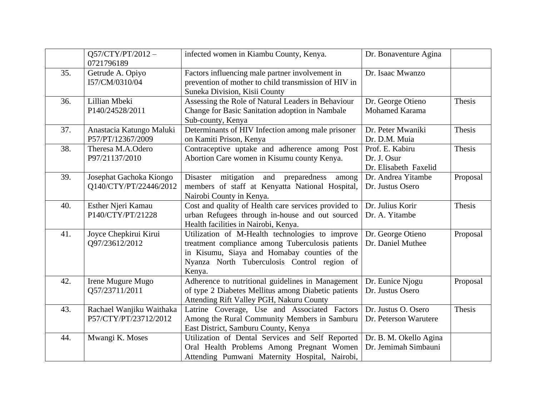|     | Q57/CTY/PT/2012-<br>0721796189                    | infected women in Kiambu County, Kenya.                                                                                                                                                                      | Dr. Bonaventure Agina                                   |          |
|-----|---------------------------------------------------|--------------------------------------------------------------------------------------------------------------------------------------------------------------------------------------------------------------|---------------------------------------------------------|----------|
| 35. | Getrude A. Opiyo<br>I57/CM/0310/04                | Factors influencing male partner involvement in<br>prevention of mother to child transmission of HIV in<br>Suneka Division, Kisii County                                                                     | Dr. Isaac Mwanzo                                        |          |
| 36. | Lillian Mbeki<br>P140/24528/2011                  | Assessing the Role of Natural Leaders in Behaviour<br>Change for Basic Sanitation adoption in Nambale<br>Sub-county, Kenya                                                                                   | Dr. George Otieno<br>Mohamed Karama                     | Thesis   |
| 37. | Anastacia Katungo Maluki<br>P57/PT/12367/2009     | Determinants of HIV Infection among male prisoner<br>on Kamiti Prison, Kenya                                                                                                                                 | Dr. Peter Mwaniki<br>Dr. D.M. Muia                      | Thesis   |
| 38. | Theresa M.A.Odero<br>P97/21137/2010               | Contraceptive uptake and adherence among Post<br>Abortion Care women in Kisumu county Kenya.                                                                                                                 | Prof. E. Kabiru<br>Dr. J. Osur<br>Dr. Elisabeth Faxelid | Thesis   |
| 39. | Josephat Gachoka Kiongo<br>Q140/CTY/PT/22446/2012 | Disaster mitigation and preparedness<br>among<br>members of staff at Kenyatta National Hospital,<br>Nairobi County in Kenya.                                                                                 | Dr. Andrea Yitambe<br>Dr. Justus Osero                  | Proposal |
| 40. | Esther Njeri Kamau<br>P140/CTY/PT/21228           | Cost and quality of Health care services provided to<br>urban Refugees through in-house and out sourced<br>Health facilities in Nairobi, Kenya.                                                              | Dr. Julius Korir<br>Dr. A. Yitambe                      | Thesis   |
| 41. | Joyce Chepkirui Kirui<br>Q97/23612/2012           | Utilization of M-Health technologies to improve<br>treatment compliance among Tuberculosis patients<br>in Kisumu, Siaya and Homabay counties of the<br>Nyanza North Tuberculosis Control region of<br>Kenya. | Dr. George Otieno<br>Dr. Daniel Muthee                  | Proposal |
| 42. | Irene Mugure Mugo<br>Q57/23711/2011               | Adherence to nutritional guidelines in Management<br>of type 2 Diabetes Mellitus among Diabetic patients<br>Attending Rift Valley PGH, Nakuru County                                                         | Dr. Eunice Njogu<br>Dr. Justus Osero                    | Proposal |
| 43. | Rachael Wanjiku Waithaka<br>P57/CTY/PT/23712/2012 | Latrine Coverage, Use and Associated Factors<br>Among the Rural Community Members in Samburu<br>East District, Samburu County, Kenya                                                                         | Dr. Justus O. Osero<br>Dr. Peterson Warutere            | Thesis   |
| 44. | Mwangi K. Moses                                   | Utilization of Dental Services and Self Reported<br>Oral Health Problems Among Pregnant Women<br>Attending Pumwani Maternity Hospital, Nairobi,                                                              | Dr. B. M. Okello Agina<br>Dr. Jemimah Simbauni          |          |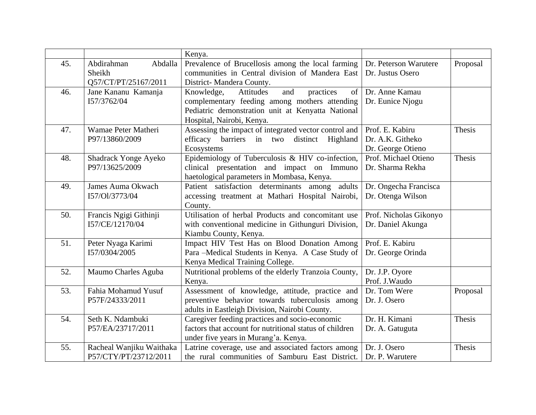|     |                          | Kenya.                                                    |                        |          |
|-----|--------------------------|-----------------------------------------------------------|------------------------|----------|
| 45. | Abdirahman<br>Abdalla    | Prevalence of Brucellosis among the local farming         | Dr. Peterson Warutere  | Proposal |
|     | Sheikh                   | communities in Central division of Mandera East           | Dr. Justus Osero       |          |
|     | Q57/CT/PT/25167/2011     | District-Mandera County.                                  |                        |          |
| 46. | Jane Kananu Kamanja      | Knowledge,<br>and<br>practices<br>$\sigma$ f<br>Attitudes | Dr. Anne Kamau         |          |
|     | 157/3762/04              | complementary feeding among mothers attending             | Dr. Eunice Njogu       |          |
|     |                          | Pediatric demonstration unit at Kenyatta National         |                        |          |
|     |                          | Hospital, Nairobi, Kenya.                                 |                        |          |
| 47. | Wamae Peter Matheri      | Assessing the impact of integrated vector control and     | Prof. E. Kabiru        | Thesis   |
|     | P97/13860/2009           | efficacy barriers in two<br>distinct<br>Highland          | Dr. A.K. Githeko       |          |
|     |                          | Ecosystems                                                | Dr. George Otieno      |          |
| 48. | Shadrack Yonge Ayeko     | Epidemiology of Tuberculosis & HIV co-infection,          | Prof. Michael Otieno   | Thesis   |
|     | P97/13625/2009           | clinical presentation and impact on Immuno                | Dr. Sharma Rekha       |          |
|     |                          | haetological parameters in Mombasa, Kenya.                |                        |          |
| 49. | James Auma Okwach        | Patient satisfaction determinants among adults            | Dr. Ongecha Francisca  |          |
|     | I57/Ol/3773/04           | accessing treatment at Mathari Hospital Nairobi,          | Dr. Otenga Wilson      |          |
|     |                          | County.                                                   |                        |          |
| 50. | Francis Ngigi Githinji   | Utilisation of herbal Products and concomitant use        | Prof. Nicholas Gikonyo |          |
|     | I57/CE/12170/04          | with conventional medicine in Githunguri Division,        | Dr. Daniel Akunga      |          |
|     |                          | Kiambu County, Kenya.                                     |                        |          |
| 51. | Peter Nyaga Karimi       | Impact HIV Test Has on Blood Donation Among               | Prof. E. Kabiru        |          |
|     | I57/0304/2005            | Para -Medical Students in Kenya. A Case Study of          | Dr. George Orinda      |          |
|     |                          | Kenya Medical Training College.                           |                        |          |
| 52. | Maumo Charles Aguba      | Nutritional problems of the elderly Tranzoia County,      | Dr. J.P. Oyore         |          |
|     |                          | Kenya.                                                    | Prof. J. Waudo         |          |
| 53. | Fahia Mohamud Yusuf      | Assessment of knowledge, attitude, practice and           | Dr. Tom Were           | Proposal |
|     | P57F/24333/2011          | preventive behavior towards tuberculosis among            | Dr. J. Osero           |          |
|     |                          | adults in Eastleigh Division, Nairobi County.             |                        |          |
| 54. | Seth K. Ndambuki         | Caregiver feeding practices and socio-economic            | Dr. H. Kimani          | Thesis   |
|     | P57/EA/23717/2011        | factors that account for nutritional status of children   | Dr. A. Gatuguta        |          |
|     |                          | under five years in Murang'a. Kenya.                      |                        |          |
| 55. | Racheal Wanjiku Waithaka | Latrine coverage, use and associated factors among        | Dr. J. Osero           | Thesis   |
|     | P57/CTY/PT/23712/2011    | the rural communities of Samburu East District.           | Dr. P. Warutere        |          |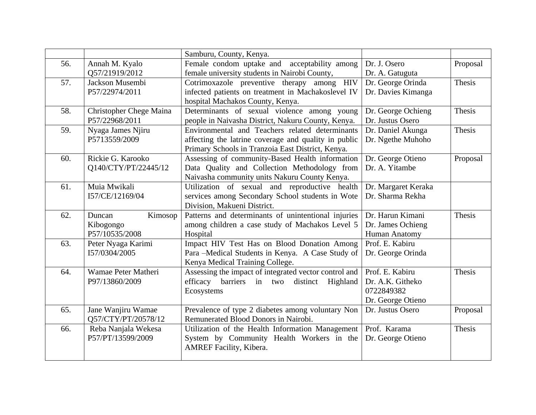|     |                                | Samburu, County, Kenya.                               |                      |          |
|-----|--------------------------------|-------------------------------------------------------|----------------------|----------|
| 56. | Annah M. Kyalo                 | Female condom uptake and acceptability among          | Dr. J. Osero         | Proposal |
|     | Q57/21919/2012                 | female university students in Nairobi County,         | Dr. A. Gatuguta      |          |
| 57. | Jackson Musembi                | Cotrimoxazole preventive therapy among HIV            | Dr. George Orinda    | Thesis   |
|     | P57/22974/2011                 | infected patients on treatment in Machakoslevel IV    | Dr. Davies Kimanga   |          |
|     |                                | hospital Machakos County, Kenya.                      |                      |          |
| 58. | <b>Christopher Chege Maina</b> | Determinants of sexual violence among young           | Dr. George Ochieng   | Thesis   |
|     | P57/22968/2011                 | people in Naivasha District, Nakuru County, Kenya.    | Dr. Justus Osero     |          |
| 59. | Nyaga James Njiru              | Environmental and Teachers related determinants       | Dr. Daniel Akunga    | Thesis   |
|     | P5713559/2009                  | affecting the latrine coverage and quality in public  | Dr. Ngethe Muhoho    |          |
|     |                                | Primary Schools in Tranzoia East District, Kenya.     |                      |          |
| 60. | Rickie G. Karooko              | Assessing of community-Based Health information       | Dr. George Otieno    | Proposal |
|     | Q140/CTY/PT/22445/12           | Data Quality and Collection Methodology from          | Dr. A. Yitambe       |          |
|     |                                | Naivasha community units Nakuru County Kenya.         |                      |          |
| 61. | Muia Mwikali                   | Utilization of sexual and reproductive health         | Dr. Margaret Keraka  |          |
|     | I57/CE/12169/04                | services among Secondary School students in Wote      | Dr. Sharma Rekha     |          |
|     |                                | Division, Makueni District.                           |                      |          |
| 62. | Kimosop<br>Duncan              | Patterns and determinants of unintentional injuries   | Dr. Harun Kimani     | Thesis   |
|     | Kibogongo                      | among children a case study of Machakos Level 5       | Dr. James Ochieng    |          |
|     | P57/10535/2008                 | Hospital                                              | <b>Human Anatomy</b> |          |
| 63. | Peter Nyaga Karimi             | Impact HIV Test Has on Blood Donation Among           | Prof. E. Kabiru      |          |
|     | I57/0304/2005                  | Para -Medical Students in Kenya. A Case Study of      | Dr. George Orinda    |          |
|     |                                | Kenya Medical Training College.                       |                      |          |
| 64. | Wamae Peter Matheri            | Assessing the impact of integrated vector control and | Prof. E. Kabiru      | Thesis   |
|     | P97/13860/2009                 | barriers in two<br>efficacy<br>distinct<br>Highland   | Dr. A.K. Githeko     |          |
|     |                                | Ecosystems                                            | 0722849382           |          |
|     |                                |                                                       | Dr. George Otieno    |          |
| 65. | Jane Wanjiru Wamae             | Prevalence of type 2 diabetes among voluntary Non     | Dr. Justus Osero     | Proposal |
|     | Q57/CTY/PT/20578/12            | Remunerated Blood Donors in Nairobi.                  |                      |          |
| 66. | Reba Nanjala Wekesa            | Utilization of the Health Information Management      | Prof. Karama         | Thesis   |
|     | P57/PT/13599/2009              | System by Community Health Workers in the             | Dr. George Otieno    |          |
|     |                                | AMREF Facility, Kibera.                               |                      |          |
|     |                                |                                                       |                      |          |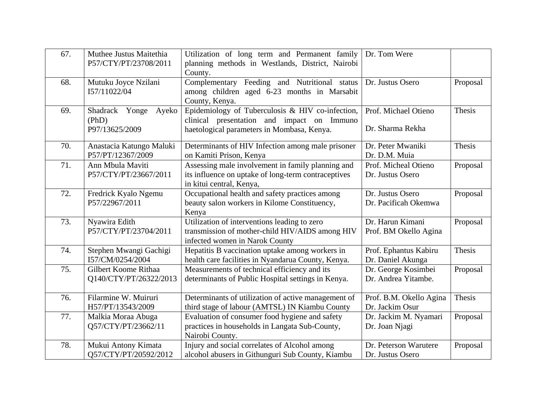| 67. | Muthee Justus Maitethia<br>P57/CTY/PT/23708/2011   | Utilization of long term and Permanent family<br>planning methods in Westlands, District, Nairobi<br>County.                                 | Dr. Tom Were                               |          |
|-----|----------------------------------------------------|----------------------------------------------------------------------------------------------------------------------------------------------|--------------------------------------------|----------|
| 68. | Mutuku Joyce Nzilani<br>157/11022/04               | Complementary Feeding and Nutritional status<br>among children aged 6-23 months in Marsabit<br>County, Kenya.                                | Dr. Justus Osero                           | Proposal |
| 69. | Shadrack Yonge<br>Ayeko<br>(PhD)<br>P97/13625/2009 | Epidemiology of Tuberculosis & HIV co-infection,<br>clinical presentation and impact on Immuno<br>haetological parameters in Mombasa, Kenya. | Prof. Michael Otieno<br>Dr. Sharma Rekha   | Thesis   |
| 70. | Anastacia Katungo Maluki<br>P57/PT/12367/2009      | Determinants of HIV Infection among male prisoner<br>on Kamiti Prison, Kenya                                                                 | Dr. Peter Mwaniki<br>Dr. D.M. Muia         | Thesis   |
| 71. | Ann Mbula Maviti<br>P57/CTY/PT/23667/2011          | Assessing male involvement in family planning and<br>its influence on uptake of long-term contraceptives<br>in kitui central, Kenya,         | Prof. Micheal Otieno<br>Dr. Justus Osero   | Proposal |
| 72. | Fredrick Kyalo Ngemu<br>P57/22967/2011             | Occupational health and safety practices among<br>beauty salon workers in Kilome Constituency,<br>Kenya                                      | Dr. Justus Osero<br>Dr. Pacificah Okemwa   | Proposal |
| 73. | Nyawira Edith<br>P57/CTY/PT/23704/2011             | Utilization of interventions leading to zero<br>transmission of mother-child HIV/AIDS among HIV<br>infected women in Narok County            | Dr. Harun Kimani<br>Prof. BM Okello Agina  | Proposal |
| 74. | Stephen Mwangi Gachigi<br>I57/CM/0254/2004         | Hepatitis B vaccination uptake among workers in<br>health care facilities in Nyandarua County, Kenya.                                        | Prof. Ephantus Kabiru<br>Dr. Daniel Akunga | Thesis   |
| 75. | Gilbert Koome Rithaa<br>Q140/CTY/PT/26322/2013     | Measurements of technical efficiency and its<br>determinants of Public Hospital settings in Kenya.                                           | Dr. George Kosimbei<br>Dr. Andrea Yitambe. | Proposal |
| 76. | Filarmine W. Muiruri<br>H57/PT/13543/2009          | Determinants of utilization of active management of<br>third stage of labour (AMTSL) IN Kiambu County                                        | Prof. B.M. Okello Agina<br>Dr. Jackim Osur | Thesis   |
| 77. | Malkia Moraa Abuga<br>Q57/CTY/PT/23662/11          | Evaluation of consumer food hygiene and safety<br>practices in households in Langata Sub-County,<br>Nairobi County.                          | Dr. Jackim M. Nyamari<br>Dr. Joan Njagi    | Proposal |
| 78. | Mukui Antony Kimata<br>O57/CTY/PT/20592/2012       | Injury and social correlates of Alcohol among<br>alcohol abusers in Githunguri Sub County, Kiambu                                            | Dr. Peterson Warutere<br>Dr. Justus Osero  | Proposal |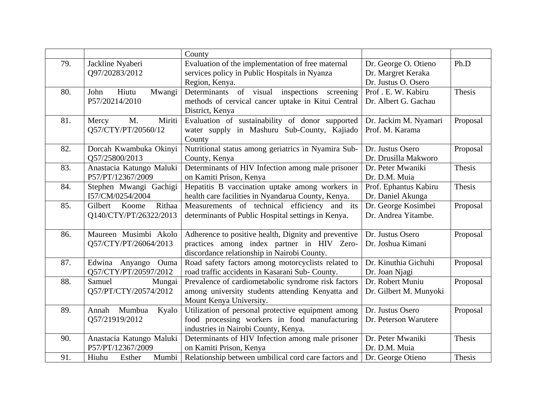|     |                          | County                                               |                        |          |
|-----|--------------------------|------------------------------------------------------|------------------------|----------|
| 79. | Jackline Nyaberi         | Evaluation of the implementation of free maternal    | Dr. George O. Otieno   | Ph.D     |
|     | Q97/20283/2012           | services policy in Public Hospitals in Nyanza        | Dr. Margret Keraka     |          |
|     |                          | Region, Kenya.                                       | Dr. Justus O. Osero    |          |
| 80. | Hiutu<br>John<br>Mwangi  | Determinants of visual inspections screening         | Prof. E. W. Kabiru     | Thesis   |
|     | P57/20214/2010           | methods of cervical cancer uptake in Kitui Central   | Dr. Albert G. Gachau   |          |
|     |                          | District, Kenya                                      |                        |          |
| 81. | Miriti<br>M.<br>Mercy    | Evaluation of sustainability of donor supported      | Dr. Jackim M. Nyamari  | Proposal |
|     | Q57/CTY/PT/20560/12      | water supply in Mashuru Sub-County, Kajiado          | Prof. M. Karama        |          |
|     |                          | County                                               |                        |          |
| 82. | Dorcah Kwambuka Okinyi   | Nutritional status among geriatrics in Nyamira Sub-  | Dr. Justus Osero       | Proposal |
|     | Q57/25800/2013           | County, Kenya                                        | Dr. Drusilla Makworo   |          |
| 83. | Anastacia Katungo Maluki | Determinants of HIV Infection among male prisoner    | Dr. Peter Mwaniki      | Thesis   |
|     | P57/PT/12367/2009        | on Kamiti Prison, Kenya                              | Dr. D.M. Muia          |          |
| 84. | Stephen Mwangi Gachigi   | Hepatitis B vaccination uptake among workers in      | Prof. Ephantus Kabiru  | Thesis   |
|     | I57/CM/0254/2004         | health care facilities in Nyandarua County, Kenya.   | Dr. Daniel Akunga      |          |
| 85. | Rithaa<br>Gilbert Koome  | Measurements of technical efficiency and its         | Dr. George Kosimbei    | Proposal |
|     | Q140/CTY/PT/26322/2013   | determinants of Public Hospital settings in Kenya.   | Dr. Andrea Yitambe.    |          |
|     |                          |                                                      |                        |          |
| 86. | Maureen Musimbi Akolo    | Adherence to positive health, Dignity and preventive | Dr. Justus Osero       | Proposal |
|     | Q57/CTY/PT/26064/2013    | practices among index partner in HIV Zero-           | Dr. Joshua Kimani      |          |
|     |                          | discordance relationship in Nairobi County.          |                        |          |
| 87. | Edwina Anyango Ouma      | Road safety factors among motorcyclists related to   | Dr. Kinuthia Gichuhi   | Proposal |
|     | Q57/CTY/PT/20597/2012    | road traffic accidents in Kasarani Sub-County.       | Dr. Joan Njagi         |          |
| 88. | Mungai<br>Samuel         | Prevalence of cardiometabolic syndrome risk factors  | Dr. Robert Muniu       | Proposal |
|     | Q57/PT/CTY/20574/2012    | among university students attending Kenyatta and     | Dr. Gilbert M. Munyoki |          |
|     |                          | Mount Kenya University.                              |                        |          |
| 89. | Mumbua<br>Annah<br>Kyalo | Utilization of personal protective equipment among   | Dr. Justus Osero       | Proposal |
|     | Q57/21919/2012           | food processing workers in food manufacturing        | Dr. Peterson Warutere  |          |
|     |                          | industries in Nairobi County, Kenya.                 |                        |          |
| 90. | Anastacia Katungo Maluki | Determinants of HIV Infection among male prisoner    | Dr. Peter Mwaniki      | Thesis   |
|     | P57/PT/12367/2009        | on Kamiti Prison, Kenya                              | Dr. D.M. Muia          |          |
| 91. | Mumbi<br>Hiuhu<br>Esther | Relationship between umbilical cord care factors and | Dr. George Otieno      | Thesis   |